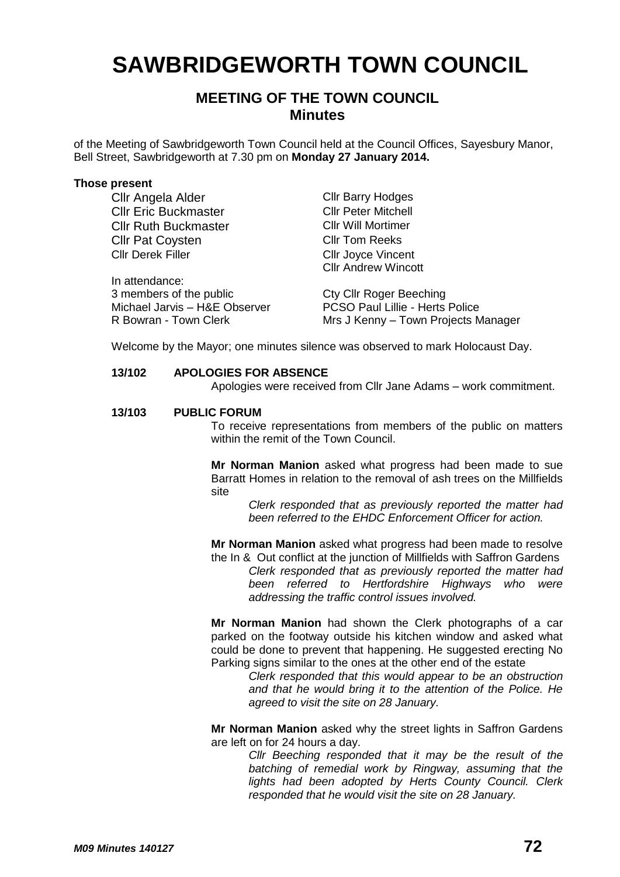# **SAWBRIDGEWORTH TOWN COUNCIL**

# **MEETING OF THE TOWN COUNCIL Minutes**

of the Meeting of Sawbridgeworth Town Council held at the Council Offices, Sayesbury Manor, Bell Street, Sawbridgeworth at 7.30 pm on **Monday 27 January 2014.**

#### **Those present**

Cllr Angela Alder Cllr Barry Hodges **Cllr Eric Buckmaster Cllr Peter Mitchell** Cllr Ruth Buckmaster Cllr Will Mortimer Cllr Pat Coysten Cllr Tom Reeks Cllr Derek Filler Cllr Joyce Vincent

In attendance: 3 members of the public Cty Cllr Roger Beeching

Cllr Andrew Wincott

Michael Jarvis – H&E Observer PCSO Paul Lillie - Herts Police R Bowran - Town Clerk Mrs J Kenny – Town Projects Manager

Welcome by the Mayor; one minutes silence was observed to mark Holocaust Day.

# **13/102 APOLOGIES FOR ABSENCE**

Apologies were received from Cllr Jane Adams – work commitment.

#### **13/103 PUBLIC FORUM**

To receive representations from members of the public on matters within the remit of the Town Council.

**Mr Norman Manion** asked what progress had been made to sue Barratt Homes in relation to the removal of ash trees on the Millfields site

*Clerk responded that as previously reported the matter had been referred to the EHDC Enforcement Officer for action.*

**Mr Norman Manion** asked what progress had been made to resolve the In & Out conflict at the junction of Millfields with Saffron Gardens

*Clerk responded that as previously reported the matter had been referred to Hertfordshire Highways who were addressing the traffic control issues involved.*

**Mr Norman Manion** had shown the Clerk photographs of a car parked on the footway outside his kitchen window and asked what could be done to prevent that happening. He suggested erecting No Parking signs similar to the ones at the other end of the estate

> *Clerk responded that this would appear to be an obstruction and that he would bring it to the attention of the Police. He agreed to visit the site on 28 January.*

**Mr Norman Manion** asked why the street lights in Saffron Gardens are left on for 24 hours a day.

> *Cllr Beeching responded that it may be the result of the batching of remedial work by Ringway, assuming that the lights had been adopted by Herts County Council. Clerk responded that he would visit the site on 28 January.*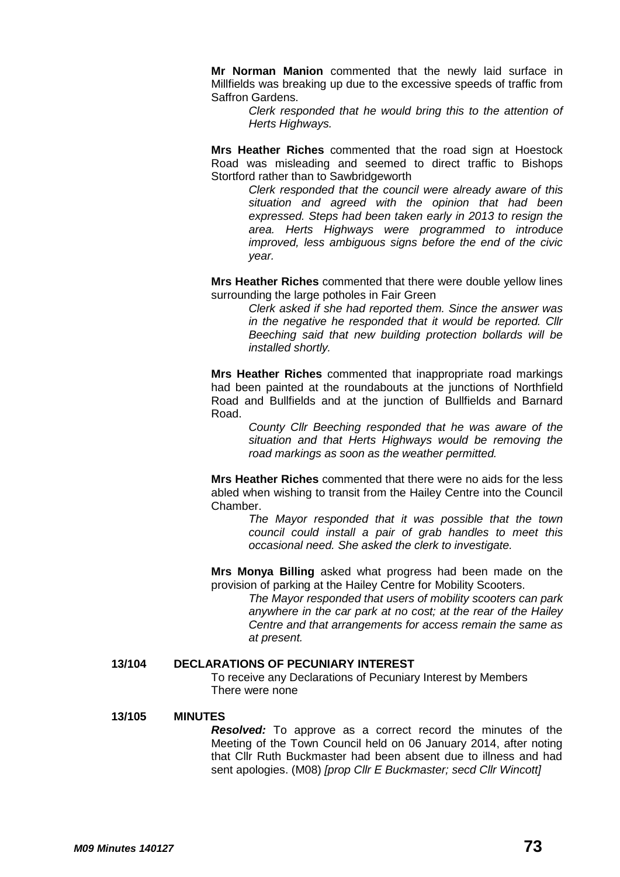**Mr Norman Manion** commented that the newly laid surface in Millfields was breaking up due to the excessive speeds of traffic from Saffron Gardens.

> *Clerk responded that he would bring this to the attention of Herts Highways.*

**Mrs Heather Riches** commented that the road sign at Hoestock Road was misleading and seemed to direct traffic to Bishops Stortford rather than to Sawbridgeworth

> *Clerk responded that the council were already aware of this situation and agreed with the opinion that had been expressed. Steps had been taken early in 2013 to resign the area. Herts Highways were programmed to introduce improved, less ambiguous signs before the end of the civic year.*

**Mrs Heather Riches** commented that there were double yellow lines surrounding the large potholes in Fair Green

> *Clerk asked if she had reported them. Since the answer was in the negative he responded that it would be reported. Cllr Beeching said that new building protection bollards will be installed shortly.*

**Mrs Heather Riches** commented that inappropriate road markings had been painted at the roundabouts at the junctions of Northfield Road and Bullfields and at the junction of Bullfields and Barnard Road.

> *County Cllr Beeching responded that he was aware of the situation and that Herts Highways would be removing the road markings as soon as the weather permitted.*

**Mrs Heather Riches** commented that there were no aids for the less abled when wishing to transit from the Hailey Centre into the Council Chamber.

> *The Mayor responded that it was possible that the town council could install a pair of grab handles to meet this occasional need. She asked the clerk to investigate.*

**Mrs Monya Billing** asked what progress had been made on the provision of parking at the Hailey Centre for Mobility Scooters.

> *The Mayor responded that users of mobility scooters can park anywhere in the car park at no cost; at the rear of the Hailey Centre and that arrangements for access remain the same as at present.*

### **13/104 DECLARATIONS OF PECUNIARY INTEREST**

To receive any Declarations of Pecuniary Interest by Members There were none

#### **13/105 MINUTES**

*Resolved:* To approve as a correct record the minutes of the Meeting of the Town Council held on 06 January 2014, after noting that Cllr Ruth Buckmaster had been absent due to illness and had sent apologies. (M08) *[prop Cllr E Buckmaster; secd Cllr Wincott]*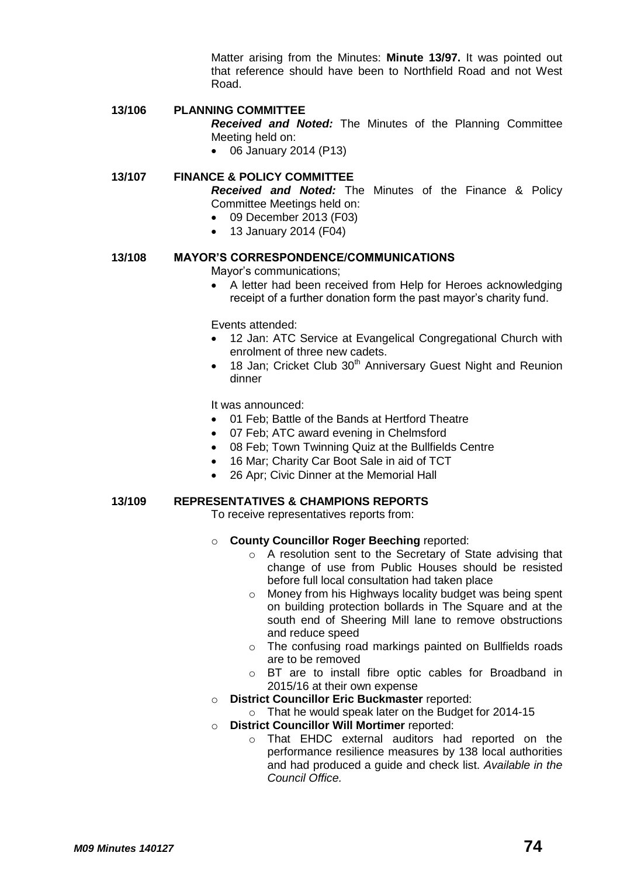Matter arising from the Minutes: **Minute 13/97.** It was pointed out that reference should have been to Northfield Road and not West Road.

# **13/106 PLANNING COMMITTEE**

*Received and Noted:* The Minutes of the Planning Committee Meeting held on:

06 January 2014 (P13)

# **13/107 FINANCE & POLICY COMMITTEE**

*Received and Noted:* The Minutes of the Finance & Policy Committee Meetings held on:

- 09 December 2013 (F03)
- 13 January 2014 (F04)

# **13/108 MAYOR'S CORRESPONDENCE/COMMUNICATIONS**

Mayor's communications;

• A letter had been received from Help for Heroes acknowledging receipt of a further donation form the past mayor's charity fund.

Events attended:

- 12 Jan: ATC Service at Evangelical Congregational Church with enrolment of three new cadets.
- 18 Jan; Cricket Club 30<sup>th</sup> Anniversary Guest Night and Reunion dinner

It was announced:

- 01 Feb; Battle of the Bands at Hertford Theatre
- 07 Feb; ATC award evening in Chelmsford
- 08 Feb; Town Twinning Quiz at the Bullfields Centre
- 16 Mar; Charity Car Boot Sale in aid of TCT
- 26 Apr: Civic Dinner at the Memorial Hall

# **13/109 REPRESENTATIVES & CHAMPIONS REPORTS**

To receive representatives reports from:

- o **County Councillor Roger Beeching** reported:
	- o A resolution sent to the Secretary of State advising that change of use from Public Houses should be resisted before full local consultation had taken place
	- o Money from his Highways locality budget was being spent on building protection bollards in The Square and at the south end of Sheering Mill lane to remove obstructions and reduce speed
	- o The confusing road markings painted on Bullfields roads are to be removed
	- o BT are to install fibre optic cables for Broadband in 2015/16 at their own expense
- o **District Councillor Eric Buckmaster** reported:
	- o That he would speak later on the Budget for 2014-15
- o **District Councillor Will Mortimer** reported:
	- o That EHDC external auditors had reported on the performance resilience measures by 138 local authorities and had produced a guide and check list. *Available in the Council Office.*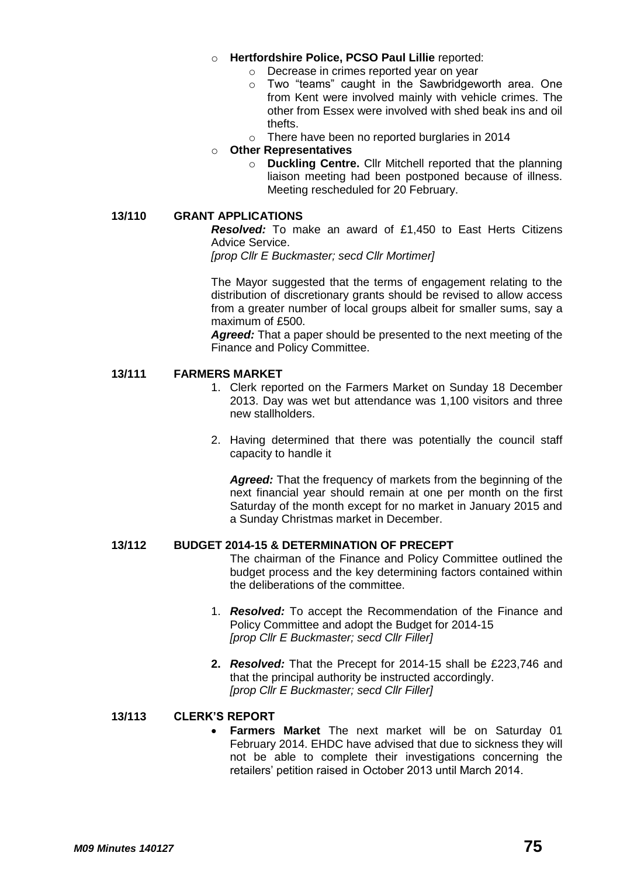- o **Hertfordshire Police, PCSO Paul Lillie** reported:
	- o Decrease in crimes reported year on year
	- o Two "teams" caught in the Sawbridgeworth area. One from Kent were involved mainly with vehicle crimes. The other from Essex were involved with shed beak ins and oil thefts.
	- o There have been no reported burglaries in 2014

# o **Other Representatives**

o **Duckling Centre.** Cllr Mitchell reported that the planning liaison meeting had been postponed because of illness. Meeting rescheduled for 20 February.

# **13/110 GRANT APPLICATIONS**

*[prop Cllr E Buckmaster; secd Cllr Mortimer]*

The Mayor suggested that the terms of engagement relating to the distribution of discretionary grants should be revised to allow access from a greater number of local groups albeit for smaller sums, say a maximum of £500.

*Agreed:* That a paper should be presented to the next meeting of the Finance and Policy Committee.

## **13/111 FARMERS MARKET**

- 1. Clerk reported on the Farmers Market on Sunday 18 December 2013. Day was wet but attendance was 1,100 visitors and three new stallholders.
- 2. Having determined that there was potentially the council staff capacity to handle it

*Agreed:* That the frequency of markets from the beginning of the next financial year should remain at one per month on the first Saturday of the month except for no market in January 2015 and a Sunday Christmas market in December.

### **13/112 BUDGET 2014-15 & DETERMINATION OF PRECEPT**

The chairman of the Finance and Policy Committee outlined the budget process and the key determining factors contained within the deliberations of the committee.

- 1. *Resolved:* To accept the Recommendation of the Finance and Policy Committee and adopt the Budget for 2014-15 *[prop Cllr E Buckmaster; secd Cllr Filler]*
- **2.** *Resolved:* That the Precept for 2014-15 shall be £223,746 and that the principal authority be instructed accordingly. *[prop Cllr E Buckmaster; secd Cllr Filler]*

### **13/113 CLERK'S REPORT**

 **Farmers Market** The next market will be on Saturday 01 February 2014. EHDC have advised that due to sickness they will not be able to complete their investigations concerning the retailers' petition raised in October 2013 until March 2014.

*Resolved:* To make an award of £1,450 to East Herts Citizens Advice Service.